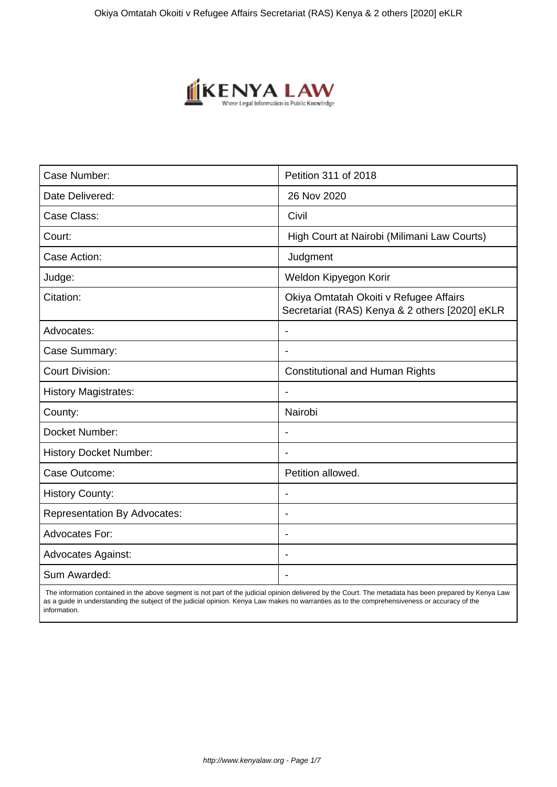

| Case Number:                        | Petition 311 of 2018                                                                     |
|-------------------------------------|------------------------------------------------------------------------------------------|
| Date Delivered:                     | 26 Nov 2020                                                                              |
| Case Class:                         | Civil                                                                                    |
| Court:                              | High Court at Nairobi (Milimani Law Courts)                                              |
| Case Action:                        | Judgment                                                                                 |
| Judge:                              | Weldon Kipyegon Korir                                                                    |
| Citation:                           | Okiya Omtatah Okoiti v Refugee Affairs<br>Secretariat (RAS) Kenya & 2 others [2020] eKLR |
| Advocates:                          |                                                                                          |
| Case Summary:                       |                                                                                          |
| <b>Court Division:</b>              | <b>Constitutional and Human Rights</b>                                                   |
| <b>History Magistrates:</b>         | $\blacksquare$                                                                           |
| County:                             | Nairobi                                                                                  |
| Docket Number:                      |                                                                                          |
| <b>History Docket Number:</b>       |                                                                                          |
| Case Outcome:                       | Petition allowed.                                                                        |
| <b>History County:</b>              | $\blacksquare$                                                                           |
| <b>Representation By Advocates:</b> | $\overline{\phantom{0}}$                                                                 |
| <b>Advocates For:</b>               |                                                                                          |
| <b>Advocates Against:</b>           |                                                                                          |
| Sum Awarded:                        |                                                                                          |

 The information contained in the above segment is not part of the judicial opinion delivered by the Court. The metadata has been prepared by Kenya Law as a guide in understanding the subject of the judicial opinion. Kenya Law makes no warranties as to the comprehensiveness or accuracy of the information.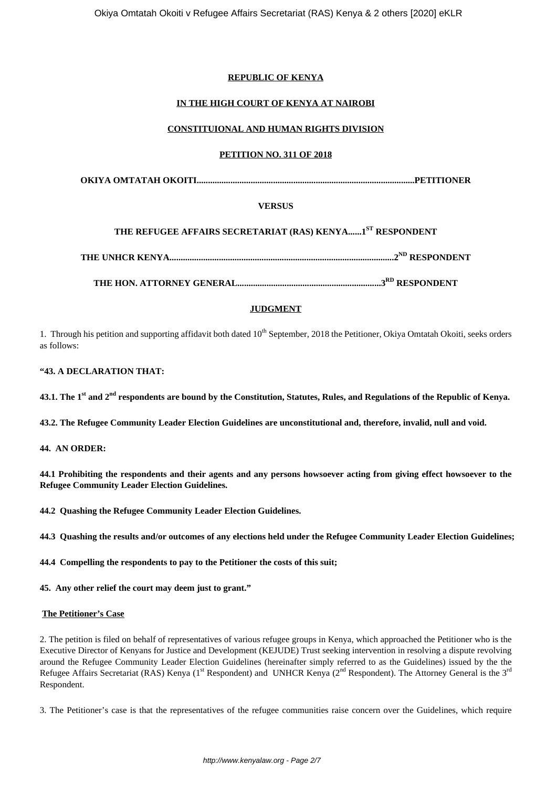# **REPUBLIC OF KENYA**

# **IN THE HIGH COURT OF KENYA AT NAIROBI**

## **CONSTITUIONAL AND HUMAN RIGHTS DIVISION**

#### **PETITION NO. 311 OF 2018**

**OKIYA OMTATAH OKOITI.................................................................................................PETITIONER**

## **VERSUS**

# **THE REFUGEE AFFAIRS SECRETARIAT (RAS) KENYA......1ST RESPONDENT**

**THE UNHCR KENYA....................................................................................................2ND RESPONDENT**

**THE HON. ATTORNEY GENERAL................................................................3RD RESPONDENT**

## **JUDGMENT**

1. Through his petition and supporting affidavit both dated  $10<sup>th</sup>$  September, 2018 the Petitioner, Okiva Omtatah Okoiti, seeks orders as follows:

#### **"43. A DECLARATION THAT:**

**43.1. The 1st and 2nd respondents are bound by the Constitution, Statutes, Rules, and Regulations of the Republic of Kenya.**

**43.2. The Refugee Community Leader Election Guidelines are unconstitutional and, therefore, invalid, null and void.**

**44. AN ORDER:**

**44.1 Prohibiting the respondents and their agents and any persons howsoever acting from giving effect howsoever to the Refugee Community Leader Election Guidelines.**

**44.2 Quashing the Refugee Community Leader Election Guidelines.**

**44.3 Quashing the results and/or outcomes of any elections held under the Refugee Community Leader Election Guidelines;**

**44.4 Compelling the respondents to pay to the Petitioner the costs of this suit;**

**45. Any other relief the court may deem just to grant."**

#### **The Petitioner's Case**

2. The petition is filed on behalf of representatives of various refugee groups in Kenya, which approached the Petitioner who is the Executive Director of Kenyans for Justice and Development (KEJUDE) Trust seeking intervention in resolving a dispute revolving around the Refugee Community Leader Election Guidelines (hereinafter simply referred to as the Guidelines) issued by the the Refugee Affairs Secretariat (RAS) Kenya (1<sup>st</sup> Respondent) and UNHCR Kenya (2<sup>nd</sup> Respondent). The Attorney General is the 3<sup>rd</sup> Respondent.

3. The Petitioner's case is that the representatives of the refugee communities raise concern over the Guidelines, which require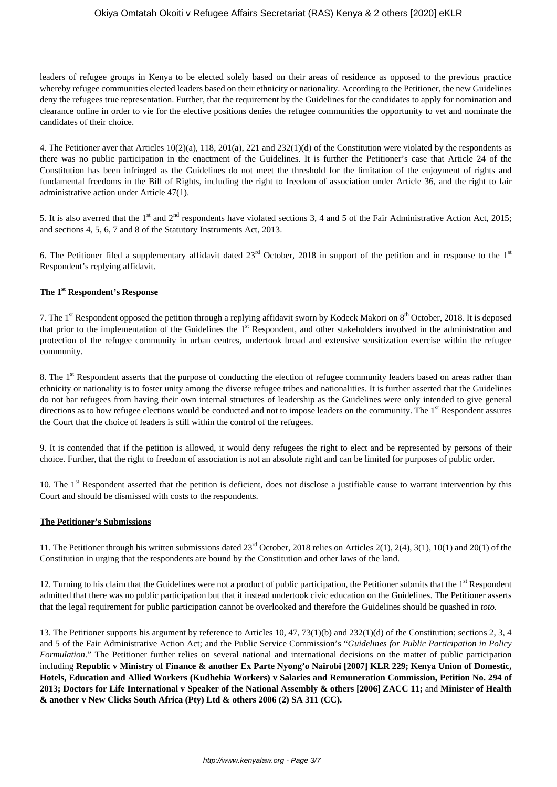#### Okiya Omtatah Okoiti v Refugee Affairs Secretariat (RAS) Kenya & 2 others [2020] eKLR

leaders of refugee groups in Kenya to be elected solely based on their areas of residence as opposed to the previous practice whereby refugee communities elected leaders based on their ethnicity or nationality. According to the Petitioner, the new Guidelines deny the refugees true representation. Further, that the requirement by the Guidelines for the candidates to apply for nomination and clearance online in order to vie for the elective positions denies the refugee communities the opportunity to vet and nominate the candidates of their choice.

4. The Petitioner aver that Articles 10(2)(a), 118, 201(a), 221 and 232(1)(d) of the Constitution were violated by the respondents as there was no public participation in the enactment of the Guidelines. It is further the Petitioner's case that Article 24 of the Constitution has been infringed as the Guidelines do not meet the threshold for the limitation of the enjoyment of rights and fundamental freedoms in the Bill of Rights, including the right to freedom of association under Article 36, and the right to fair administrative action under Article 47(1).

5. It is also averred that the 1<sup>st</sup> and 2<sup>nd</sup> respondents have violated sections 3, 4 and 5 of the Fair Administrative Action Act, 2015; and sections 4, 5, 6, 7 and 8 of the Statutory Instruments Act, 2013.

6. The Petitioner filed a supplementary affidavit dated  $23<sup>rd</sup>$  October, 2018 in support of the petition and in response to the  $1<sup>st</sup>$ Respondent's replying affidavit.

#### **The 1st Respondent's Response**

7. The 1<sup>st</sup> Respondent opposed the petition through a replying affidavit sworn by Kodeck Makori on 8<sup>th</sup> October, 2018. It is deposed that prior to the implementation of the Guidelines the 1<sup>st</sup> Respondent, and other stakeholders involved in the administration and protection of the refugee community in urban centres, undertook broad and extensive sensitization exercise within the refugee community.

8. The 1<sup>st</sup> Respondent asserts that the purpose of conducting the election of refugee community leaders based on areas rather than ethnicity or nationality is to foster unity among the diverse refugee tribes and nationalities. It is further asserted that the Guidelines do not bar refugees from having their own internal structures of leadership as the Guidelines were only intended to give general directions as to how refugee elections would be conducted and not to impose leaders on the community. The 1<sup>st</sup> Respondent assures the Court that the choice of leaders is still within the control of the refugees.

9. It is contended that if the petition is allowed, it would deny refugees the right to elect and be represented by persons of their choice. Further, that the right to freedom of association is not an absolute right and can be limited for purposes of public order.

10. The  $1<sup>st</sup>$  Respondent asserted that the petition is deficient, does not disclose a justifiable cause to warrant intervention by this Court and should be dismissed with costs to the respondents.

#### **The Petitioner's Submissions**

11. The Petitioner through his written submissions dated 23rd October, 2018 relies on Articles 2(1), 2(4), 3(1), 10(1) and 20(1) of the Constitution in urging that the respondents are bound by the Constitution and other laws of the land.

12. Turning to his claim that the Guidelines were not a product of public participation, the Petitioner submits that the  $1<sup>st</sup>$  Respondent admitted that there was no public participation but that it instead undertook civic education on the Guidelines. The Petitioner asserts that the legal requirement for public participation cannot be overlooked and therefore the Guidelines should be quashed in *toto.*

13. The Petitioner supports his argument by reference to Articles 10, 47, 73(1)(b) and 232(1)(d) of the Constitution; sections 2, 3, 4 and 5 of the Fair Administrative Action Act; and the Public Service Commission's "*Guidelines for Public Participation in Policy Formulation*." The Petitioner further relies on several national and international decisions on the matter of public participation including **Republic v Ministry of Finance & another Ex Parte Nyong'o Nairobi [2007] KLR 229; Kenya Union of Domestic, Hotels, Education and Allied Workers (Kudhehia Workers) v Salaries and Remuneration Commission, Petition No. 294 of 2013; Doctors for Life International v Speaker of the National Assembly & others [2006] ZACC 11;** and **Minister of Health & another v New Clicks South Africa (Pty) Ltd & others 2006 (2) SA 311 (CC).**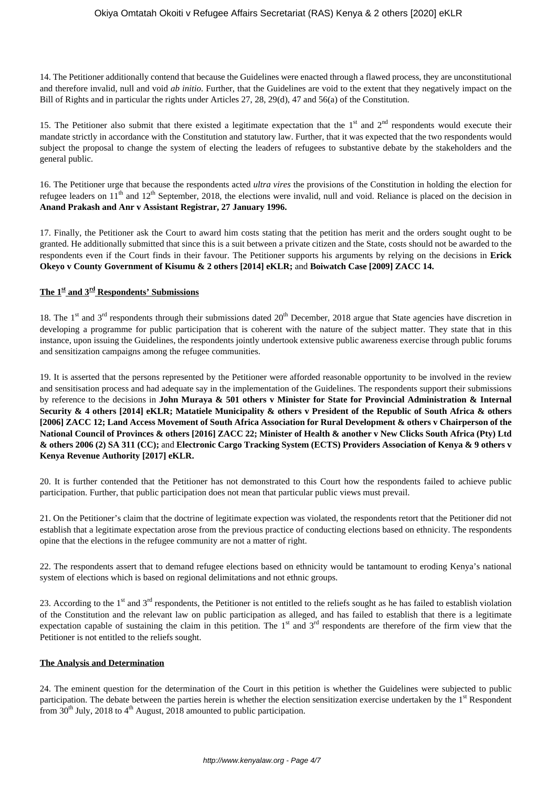14. The Petitioner additionally contend that because the Guidelines were enacted through a flawed process, they are unconstitutional and therefore invalid, null and void *ab initio.* Further, that the Guidelines are void to the extent that they negatively impact on the Bill of Rights and in particular the rights under Articles 27, 28, 29(d), 47 and 56(a) of the Constitution.

15. The Petitioner also submit that there existed a legitimate expectation that the  $1<sup>st</sup>$  and  $2<sup>nd</sup>$  respondents would execute their mandate strictly in accordance with the Constitution and statutory law. Further, that it was expected that the two respondents would subject the proposal to change the system of electing the leaders of refugees to substantive debate by the stakeholders and the general public.

16. The Petitioner urge that because the respondents acted *ultra vires* the provisions of the Constitution in holding the election for refugee leaders on  $11^{th}$  and  $12^{th}$  September, 2018, the elections were invalid, null and void. Reliance is placed on the decision in **Anand Prakash and Anr v Assistant Registrar, 27 January 1996.**

17. Finally, the Petitioner ask the Court to award him costs stating that the petition has merit and the orders sought ought to be granted. He additionally submitted that since this is a suit between a private citizen and the State, costs should not be awarded to the respondents even if the Court finds in their favour. The Petitioner supports his arguments by relying on the decisions in **Erick Okeyo v County Government of Kisumu & 2 others [2014] eKLR;** and **Boiwatch Case [2009] ZACC 14.**

## **The 1st and 3rd Respondents' Submissions**

18. The 1<sup>st</sup> and 3<sup>rd</sup> respondents through their submissions dated  $20<sup>th</sup>$  December, 2018 argue that State agencies have discretion in developing a programme for public participation that is coherent with the nature of the subject matter. They state that in this instance, upon issuing the Guidelines, the respondents jointly undertook extensive public awareness exercise through public forums and sensitization campaigns among the refugee communities.

19. It is asserted that the persons represented by the Petitioner were afforded reasonable opportunity to be involved in the review and sensitisation process and had adequate say in the implementation of the Guidelines. The respondents support their submissions by reference to the decisions in **John Muraya & 501 others v Minister for State for Provincial Administration & Internal Security & 4 others [2014] eKLR; Matatiele Municipality & others v President of the Republic of South Africa & others [2006] ZACC 12; Land Access Movement of South Africa Association for Rural Development & others v Chairperson of the National Council of Provinces & others [2016] ZACC 22; Minister of Health & another v New Clicks South Africa (Pty) Ltd & others 2006 (2) SA 311 (CC);** and **Electronic Cargo Tracking System (ECTS) Providers Association of Kenya & 9 others v Kenya Revenue Authority [2017] eKLR.**

20. It is further contended that the Petitioner has not demonstrated to this Court how the respondents failed to achieve public participation. Further, that public participation does not mean that particular public views must prevail.

21. On the Petitioner's claim that the doctrine of legitimate expection was violated, the respondents retort that the Petitioner did not establish that a legitimate expectation arose from the previous practice of conducting elections based on ethnicity. The respondents opine that the elections in the refugee community are not a matter of right.

22. The respondents assert that to demand refugee elections based on ethnicity would be tantamount to eroding Kenya's national system of elections which is based on regional delimitations and not ethnic groups.

23. According to the 1<sup>st</sup> and 3<sup>rd</sup> respondents, the Petitioner is not entitled to the reliefs sought as he has failed to establish violation of the Constitution and the relevant law on public participation as alleged, and has failed to establish that there is a legitimate expectation capable of sustaining the claim in this petition. The  $1<sup>st</sup>$  and  $3<sup>rd</sup>$  respondents are therefore of the firm view that the Petitioner is not entitled to the reliefs sought.

#### **The Analysis and Determination**

24. The eminent question for the determination of the Court in this petition is whether the Guidelines were subjected to public participation. The debate between the parties herein is whether the election sensitization exercise undertaken by the 1<sup>st</sup> Respondent from  $30<sup>th</sup>$  July, 2018 to  $4<sup>th</sup>$  August, 2018 amounted to public participation.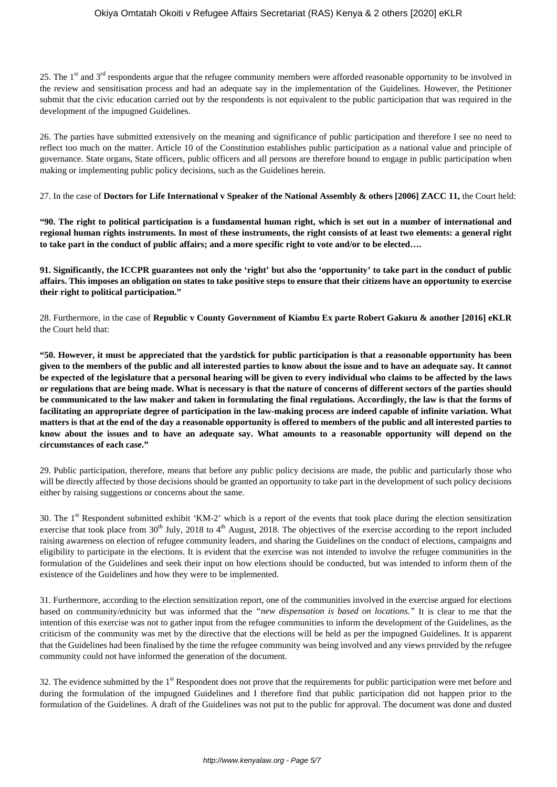25. The  $1<sup>st</sup>$  and  $3<sup>rd</sup>$  respondents argue that the refugee community members were afforded reasonable opportunity to be involved in the review and sensitisation process and had an adequate say in the implementation of the Guidelines. However, the Petitioner submit that the civic education carried out by the respondents is not equivalent to the public participation that was required in the development of the impugned Guidelines.

26. The parties have submitted extensively on the meaning and significance of public participation and therefore I see no need to reflect too much on the matter. Article 10 of the Constitution establishes public participation as a national value and principle of governance. State organs, State officers, public officers and all persons are therefore bound to engage in public participation when making or implementing public policy decisions, such as the Guidelines herein.

27. In the case of **Doctors for Life International v Speaker of the National Assembly & others [2006] ZACC 11,** the Court held:

**"90. The right to political participation is a fundamental human right, which is set out in a number of international and regional human rights instruments. In most of these instruments, the right consists of at least two elements: a general right to take part in the conduct of public affairs; and a more specific right to vote and/or to be elected….**

**91. Significantly, the ICCPR guarantees not only the 'right' but also the 'opportunity' to take part in the conduct of public affairs. This imposes an obligation on states to take positive steps to ensure that their citizens have an opportunity to exercise their right to political participation."**

28. Furthermore, in the case of **Republic v County Government of Kiambu Ex parte Robert Gakuru & another [2016] eKLR** the Court held that:

**"50. However, it must be appreciated that the yardstick for public participation is that a reasonable opportunity has been given to the members of the public and all interested parties to know about the issue and to have an adequate say. It cannot be expected of the legislature that a personal hearing will be given to every individual who claims to be affected by the laws or regulations that are being made. What is necessary is that the nature of concerns of different sectors of the parties should be communicated to the law maker and taken in formulating the final regulations. Accordingly, the law is that the forms of facilitating an appropriate degree of participation in the law-making process are indeed capable of infinite variation. What matters is that at the end of the day a reasonable opportunity is offered to members of the public and all interested parties to know about the issues and to have an adequate say. What amounts to a reasonable opportunity will depend on the circumstances of each case."**

29. Public participation, therefore, means that before any public policy decisions are made, the public and particularly those who will be directly affected by those decisions should be granted an opportunity to take part in the development of such policy decisions either by raising suggestions or concerns about the same.

30. The  $1<sup>st</sup>$  Respondent submitted exhibit 'KM-2' which is a report of the events that took place during the election sensitization exercise that took place from  $30<sup>th</sup>$  July, 2018 to 4<sup>th</sup> August, 2018. The objectives of the exercise according to the report included raising awareness on election of refugee community leaders, and sharing the Guidelines on the conduct of elections, campaigns and eligibility to participate in the elections. It is evident that the exercise was not intended to involve the refugee communities in the formulation of the Guidelines and seek their input on how elections should be conducted, but was intended to inform them of the existence of the Guidelines and how they were to be implemented.

31. Furthermore, according to the election sensitization report, one of the communities involved in the exercise argued for elections based on community/ethnicity but was informed that the *"new dispensation is based on locations."* It is clear to me that the intention of this exercise was not to gather input from the refugee communities to inform the development of the Guidelines, as the criticism of the community was met by the directive that the elections will be held as per the impugned Guidelines. It is apparent that the Guidelines had been finalised by the time the refugee community was being involved and any views provided by the refugee community could not have informed the generation of the document.

32. The evidence submitted by the  $1<sup>st</sup>$  Respondent does not prove that the requirements for public participation were met before and during the formulation of the impugned Guidelines and I therefore find that public participation did not happen prior to the formulation of the Guidelines. A draft of the Guidelines was not put to the public for approval. The document was done and dusted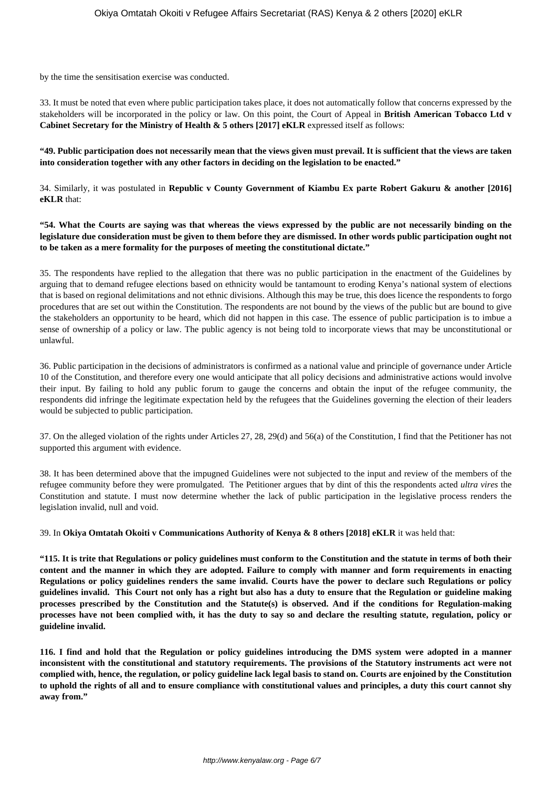by the time the sensitisation exercise was conducted.

33. It must be noted that even where public participation takes place, it does not automatically follow that concerns expressed by the stakeholders will be incorporated in the policy or law. On this point, the Court of Appeal in **British American Tobacco Ltd v Cabinet Secretary for the Ministry of Health & 5 others [2017] eKLR** expressed itself as follows:

**"49. Public participation does not necessarily mean that the views given must prevail. It is sufficient that the views are taken into consideration together with any other factors in deciding on the legislation to be enacted."**

34. Similarly, it was postulated in **Republic v County Government of Kiambu Ex parte Robert Gakuru & another [2016] eKLR** that:

**"54. What the Courts are saying was that whereas the views expressed by the public are not necessarily binding on the legislature due consideration must be given to them before they are dismissed. In other words public participation ought not to be taken as a mere formality for the purposes of meeting the constitutional dictate."**

35. The respondents have replied to the allegation that there was no public participation in the enactment of the Guidelines by arguing that to demand refugee elections based on ethnicity would be tantamount to eroding Kenya's national system of elections that is based on regional delimitations and not ethnic divisions. Although this may be true, this does licence the respondents to forgo procedures that are set out within the Constitution. The respondents are not bound by the views of the public but are bound to give the stakeholders an opportunity to be heard, which did not happen in this case. The essence of public participation is to imbue a sense of ownership of a policy or law. The public agency is not being told to incorporate views that may be unconstitutional or unlawful.

36. Public participation in the decisions of administrators is confirmed as a national value and principle of governance under Article 10 of the Constitution, and therefore every one would anticipate that all policy decisions and administrative actions would involve their input. By failing to hold any public forum to gauge the concerns and obtain the input of the refugee community, the respondents did infringe the legitimate expectation held by the refugees that the Guidelines governing the election of their leaders would be subjected to public participation.

37. On the alleged violation of the rights under Articles 27, 28, 29(d) and 56(a) of the Constitution, I find that the Petitioner has not supported this argument with evidence.

38. It has been determined above that the impugned Guidelines were not subjected to the input and review of the members of the refugee community before they were promulgated. The Petitioner argues that by dint of this the respondents acted *ultra vires* the Constitution and statute. I must now determine whether the lack of public participation in the legislative process renders the legislation invalid, null and void.

39. In **Okiya Omtatah Okoiti v Communications Authority of Kenya & 8 others [2018] eKLR** it was held that:

**"115. It is trite that Regulations or policy guidelines must conform to the Constitution and the statute in terms of both their content and the manner in which they are adopted. Failure to comply with manner and form requirements in enacting Regulations or policy guidelines renders the same invalid. Courts have the power to declare such Regulations or policy guidelines invalid. This Court not only has a right but also has a duty to ensure that the Regulation or guideline making processes prescribed by the Constitution and the Statute(s) is observed. And if the conditions for Regulation-making processes have not been complied with, it has the duty to say so and declare the resulting statute, regulation, policy or guideline invalid.**

**116. I find and hold that the Regulation or policy guidelines introducing the DMS system were adopted in a manner inconsistent with the constitutional and statutory requirements. The provisions of the Statutory instruments act were not complied with, hence, the regulation, or policy guideline lack legal basis to stand on. Courts are enjoined by the Constitution to uphold the rights of all and to ensure compliance with constitutional values and principles, a duty this court cannot shy away from."**